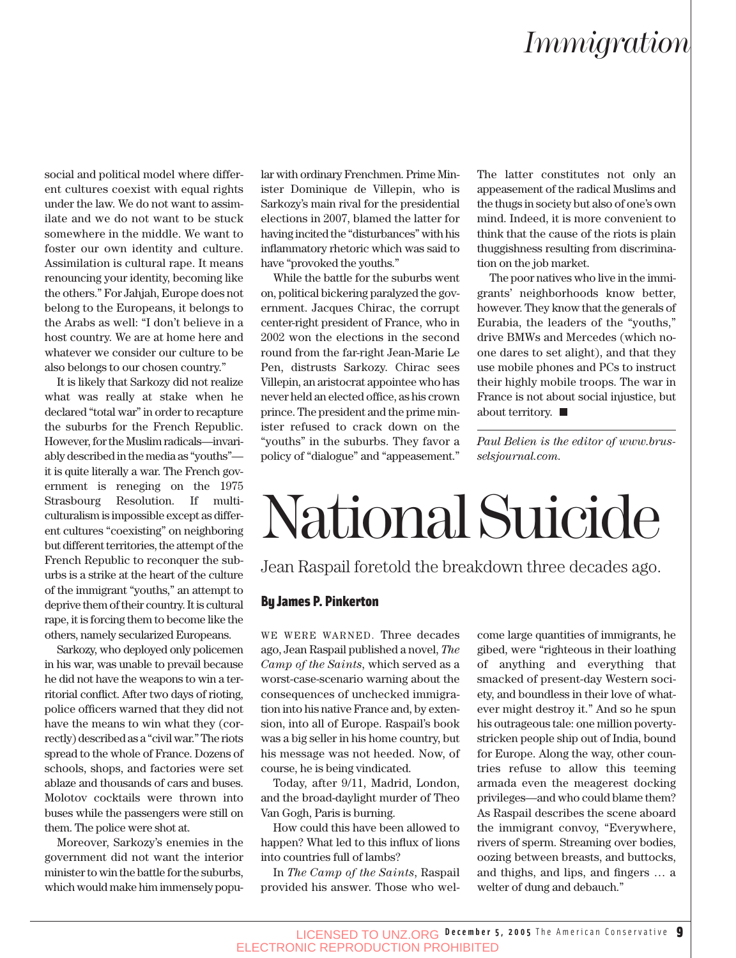## *Immigration*

social and political model where different cultures coexist with equal rights under the law. We do not want to assimilate and we do not want to be stuck somewhere in the middle. We want to foster our own identity and culture. Assimilation is cultural rape. It means renouncing your identity, becoming like the others." For Jahjah, Europe does not belong to the Europeans, it belongs to the Arabs as well: "I don't believe in a host country. We are at home here and whatever we consider our culture to be also belongs to our chosen country."

It is likely that Sarkozy did not realize what was really at stake when he declared "total war" in order to recapture the suburbs for the French Republic. However, for the Muslim radicals—invariably described in the media as "youths" it is quite literally a war. The French government is reneging on the 1975 Strasbourg Resolution. If multiculturalism is impossible except as different cultures "coexisting" on neighboring but different territories, the attempt of the French Republic to reconquer the suburbs is a strike at the heart of the culture of the immigrant "youths," an attempt to deprive them of their country. It is cultural rape, it is forcing them to become like the others, namely secularized Europeans.

Sarkozy, who deployed only policemen in his war, was unable to prevail because he did not have the weapons to win a territorial conflict. After two days of rioting, police officers warned that they did not have the means to win what they (correctly) described as a "civil war." The riots spread to the whole of France. Dozens of schools, shops, and factories were set ablaze and thousands of cars and buses. Molotov cocktails were thrown into buses while the passengers were still on them. The police were shot at.

Moreover, Sarkozy's enemies in the government did not want the interior minister to win the battle for the suburbs, which would make him immensely popular with ordinary Frenchmen. Prime Minister Dominique de Villepin, who is Sarkozy's main rival for the presidential elections in 2007, blamed the latter for having incited the "disturbances" with his inflammatory rhetoric which was said to have "provoked the youths."

While the battle for the suburbs went on, political bickering paralyzed the government. Jacques Chirac, the corrupt center-right president of France, who in 2002 won the elections in the second round from the far-right Jean-Marie Le Pen, distrusts Sarkozy. Chirac sees Villepin, an aristocrat appointee who has never held an elected office, as his crown prince. The president and the prime minister refused to crack down on the "youths" in the suburbs. They favor a policy of "dialogue" and "appeasement." The latter constitutes not only an appeasement of the radical Muslims and the thugs in society but also of one's own mind. Indeed, it is more convenient to think that the cause of the riots is plain thuggishness resulting from discrimination on the job market.

The poor natives who live in the immigrants' neighborhoods know better, however. They know that the generals of Eurabia, the leaders of the "youths," drive BMWs and Mercedes (which noone dares to set alight), and that they use mobile phones and PCs to instruct their highly mobile troops. The war in France is not about social injustice, but about territory.  $\blacksquare$ 

*Paul Belien is the editor of www.brusselsjournal.com.*

## National Suicide

Jean Raspail foretold the breakdown three decades ago.

#### By James P. Pinkerton

WE WERE WARNED. Three decades ago, Jean Raspail published a novel, *The Camp of the Saints*, which served as a worst-case-scenario warning about the consequences of unchecked immigration into his native France and, by extension, into all of Europe. Raspail's book was a big seller in his home country, but his message was not heeded. Now, of course, he is being vindicated.

Today, after 9/11, Madrid, London, and the broad-daylight murder of Theo Van Gogh, Paris is burning.

How could this have been allowed to happen? What led to this influx of lions into countries full of lambs?

In *The Camp of the Saints*, Raspail provided his answer. Those who welcome large quantities of immigrants, he gibed, were "righteous in their loathing of anything and everything that smacked of present-day Western society, and boundless in their love of whatever might destroy it." And so he spun his outrageous tale: one million povertystricken people ship out of India, bound for Europe. Along the way, other countries refuse to allow this teeming armada even the meagerest docking privileges—and who could blame them? As Raspail describes the scene aboard the immigrant convoy, "Everywhere, rivers of sperm. Streaming over bodies, oozing between breasts, and buttocks, and thighs, and lips, and fingers … a welter of dung and debauch."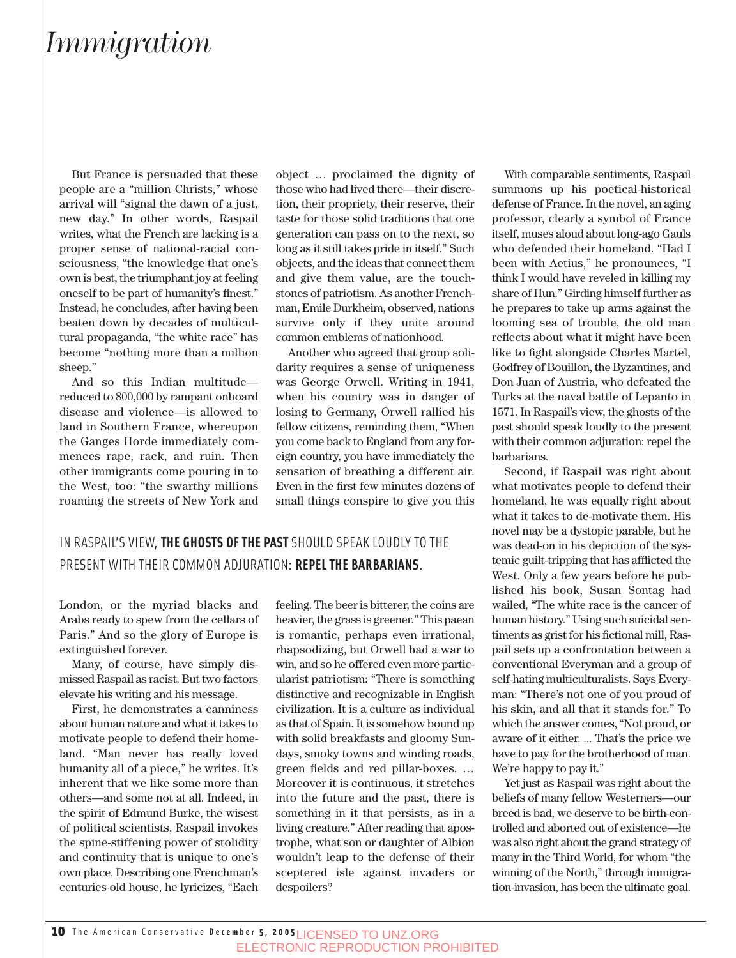### *Immigration*

But France is persuaded that these people are a "million Christs," whose arrival will "signal the dawn of a just, new day." In other words, Raspail writes, what the French are lacking is a proper sense of national-racial consciousness, "the knowledge that one's own is best, the triumphant joy at feeling oneself to be part of humanity's finest." Instead, he concludes, after having been beaten down by decades of multicultural propaganda, "the white race" has become "nothing more than a million sheep."

And so this Indian multitude reduced to 800,000 by rampant onboard disease and violence—is allowed to land in Southern France, whereupon the Ganges Horde immediately commences rape, rack, and ruin. Then other immigrants come pouring in to the West, too: "the swarthy millions roaming the streets of New York and

object … proclaimed the dignity of those who had lived there—their discretion, their propriety, their reserve, their taste for those solid traditions that one generation can pass on to the next, so long as it still takes pride in itself." Such objects, and the ideas that connect them and give them value, are the touchstones of patriotism. As another Frenchman, Emile Durkheim, observed, nations survive only if they unite around common emblems of nationhood.

Another who agreed that group solidarity requires a sense of uniqueness was George Orwell. Writing in 1941, when his country was in danger of losing to Germany, Orwell rallied his fellow citizens, reminding them, "When you come back to England from any foreign country, you have immediately the sensation of breathing a different air. Even in the first few minutes dozens of small things conspire to give you this

#### IN RASPAIL'S VIEW, **THE GHOSTS OF THE PAST** SHOULD SPEAK LOUDLY TO THE PRESENT WITH THEIR COMMON ADJURATION: **REPEL THE BARBARIANS**.

London, or the myriad blacks and Arabs ready to spew from the cellars of Paris." And so the glory of Europe is extinguished forever.

Many, of course, have simply dismissed Raspail as racist. But two factors elevate his writing and his message.

First, he demonstrates a canniness about human nature and what it takes to motivate people to defend their homeland. "Man never has really loved humanity all of a piece," he writes. It's inherent that we like some more than others—and some not at all. Indeed, in the spirit of Edmund Burke, the wisest of political scientists, Raspail invokes the spine-stiffening power of stolidity and continuity that is unique to one's own place. Describing one Frenchman's centuries-old house, he lyricizes, "Each

feeling. The beer is bitterer, the coins are heavier, the grass is greener." This paean is romantic, perhaps even irrational, rhapsodizing, but Orwell had a war to win, and so he offered even more particularist patriotism: "There is something distinctive and recognizable in English civilization. It is a culture as individual as that of Spain. It is somehow bound up with solid breakfasts and gloomy Sundays, smoky towns and winding roads, green fields and red pillar-boxes. … Moreover it is continuous, it stretches into the future and the past, there is something in it that persists, as in a living creature." After reading that apostrophe, what son or daughter of Albion wouldn't leap to the defense of their sceptered isle against invaders or despoilers?

With comparable sentiments, Raspail summons up his poetical-historical defense of France. In the novel, an aging professor, clearly a symbol of France itself, muses aloud about long-ago Gauls who defended their homeland. "Had I been with Aetius," he pronounces, "I think I would have reveled in killing my share of Hun." Girding himself further as he prepares to take up arms against the looming sea of trouble, the old man reflects about what it might have been like to fight alongside Charles Martel, Godfrey of Bouillon, the Byzantines, and Don Juan of Austria, who defeated the Turks at the naval battle of Lepanto in 1571. In Raspail's view, the ghosts of the past should speak loudly to the present with their common adjuration: repel the barbarians.

Second, if Raspail was right about what motivates people to defend their homeland, he was equally right about what it takes to de-motivate them. His novel may be a dystopic parable, but he was dead-on in his depiction of the systemic guilt-tripping that has afflicted the West. Only a few years before he published his book, Susan Sontag had wailed, "The white race is the cancer of human history." Using such suicidal sentiments as grist for his fictional mill, Raspail sets up a confrontation between a conventional Everyman and a group of self-hating multiculturalists. Says Everyman: "There's not one of you proud of his skin, and all that it stands for." To which the answer comes, "Not proud, or aware of it either. ... That's the price we have to pay for the brotherhood of man. We're happy to pay it."

Yet just as Raspail was right about the beliefs of many fellow Westerners—our breed is bad, we deserve to be birth-controlled and aborted out of existence—he was also right about the grand strategy of many in the Third World, for whom "the winning of the North," through immigration-invasion, has been the ultimate goal.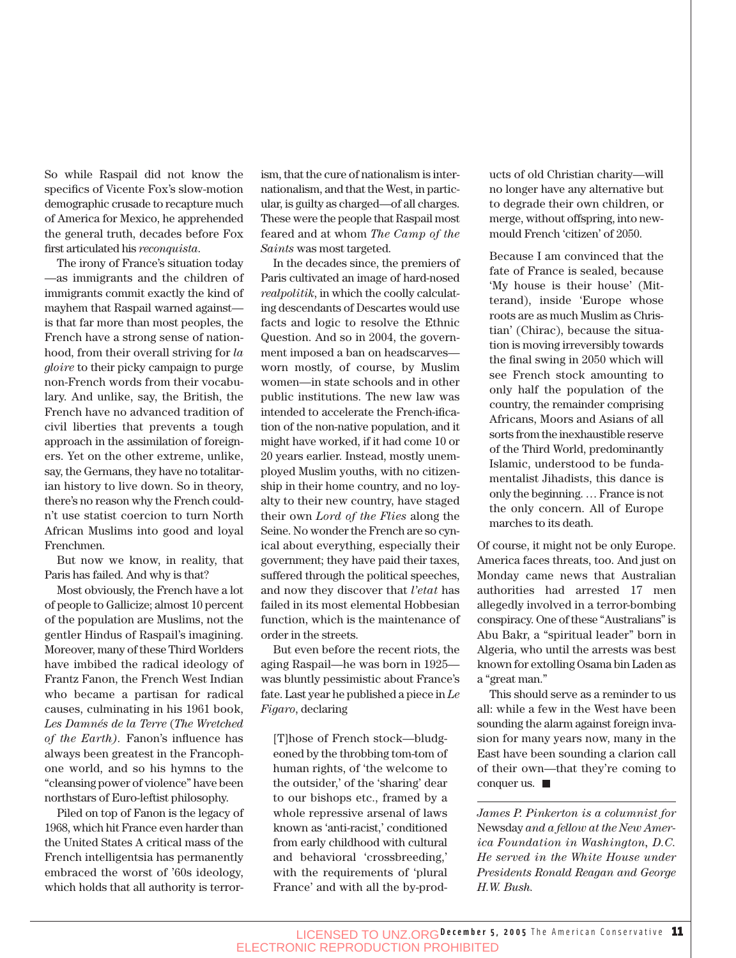So while Raspail did not know the specifics of Vicente Fox's slow-motion demographic crusade to recapture much of America for Mexico, he apprehended the general truth, decades before Fox first articulated his *reconquista*.

The irony of France's situation today —as immigrants and the children of immigrants commit exactly the kind of mayhem that Raspail warned against is that far more than most peoples, the French have a strong sense of nationhood, from their overall striving for *la gloire* to their picky campaign to purge non-French words from their vocabulary. And unlike, say, the British, the French have no advanced tradition of civil liberties that prevents a tough approach in the assimilation of foreigners. Yet on the other extreme, unlike, say, the Germans, they have no totalitarian history to live down. So in theory, there's no reason why the French couldn't use statist coercion to turn North African Muslims into good and loyal Frenchmen.

But now we know, in reality, that Paris has failed. And why is that?

Most obviously, the French have a lot of people to Gallicize; almost 10 percent of the population are Muslims, not the gentler Hindus of Raspail's imagining. Moreover, many of these Third Worlders have imbibed the radical ideology of Frantz Fanon, the French West Indian who became a partisan for radical causes, culminating in his 1961 book, *Les Damnés de la Terre* (*The Wretched of the Earth).* Fanon's influence has always been greatest in the Francophone world, and so his hymns to the "cleansing power of violence" have been northstars of Euro-leftist philosophy.

Piled on top of Fanon is the legacy of 1968, which hit France even harder than the United States A critical mass of the French intelligentsia has permanently embraced the worst of '60s ideology, which holds that all authority is terrorism, that the cure of nationalism is internationalism, and that the West, in particular, is guilty as charged—of all charges. These were the people that Raspail most feared and at whom *The Camp of the Saints* was most targeted.

In the decades since, the premiers of Paris cultivated an image of hard-nosed *realpolitik*, in which the coolly calculating descendants of Descartes would use facts and logic to resolve the Ethnic Question. And so in 2004, the government imposed a ban on headscarves worn mostly, of course, by Muslim women—in state schools and in other public institutions. The new law was intended to accelerate the French-ification of the non-native population, and it might have worked, if it had come 10 or 20 years earlier. Instead, mostly unemployed Muslim youths, with no citizenship in their home country, and no loyalty to their new country, have staged their own *Lord of the Flies* along the Seine. No wonder the French are so cynical about everything, especially their government; they have paid their taxes, suffered through the political speeches, and now they discover that *l'etat* has failed in its most elemental Hobbesian function, which is the maintenance of order in the streets.

But even before the recent riots, the aging Raspail—he was born in 1925 was bluntly pessimistic about France's fate. Last year he published a piece in *Le Figaro*, declaring

[T]hose of French stock—bludgeoned by the throbbing tom-tom of human rights, of 'the welcome to the outsider,' of the 'sharing' dear to our bishops etc., framed by a whole repressive arsenal of laws known as 'anti-racist,' conditioned from early childhood with cultural and behavioral 'crossbreeding,' with the requirements of 'plural France' and with all the by-products of old Christian charity—will no longer have any alternative but to degrade their own children, or merge, without offspring, into newmould French 'citizen' of 2050.

Because I am convinced that the fate of France is sealed, because 'My house is their house' (Mitterand), inside 'Europe whose roots are as much Muslim as Christian' (Chirac), because the situation is moving irreversibly towards the final swing in 2050 which will see French stock amounting to only half the population of the country, the remainder comprising Africans, Moors and Asians of all sorts from the inexhaustible reserve of the Third World, predominantly Islamic, understood to be fundamentalist Jihadists, this dance is only the beginning. … France is not the only concern. All of Europe marches to its death.

Of course, it might not be only Europe. America faces threats, too. And just on Monday came news that Australian authorities had arrested 17 men allegedly involved in a terror-bombing conspiracy. One of these "Australians" is Abu Bakr, a "spiritual leader" born in Algeria, who until the arrests was best known for extolling Osama bin Laden as a "great man."

This should serve as a reminder to us all: while a few in the West have been sounding the alarm against foreign invasion for many years now, many in the East have been sounding a clarion call of their own—that they're coming to conquer us.

*James P. Pinkerton is a columnist for* Newsday *and a fellow at the New America Foundation in Washington, D.C. He served in the White House under Presidents Ronald Reagan and George H.W. Bush.*